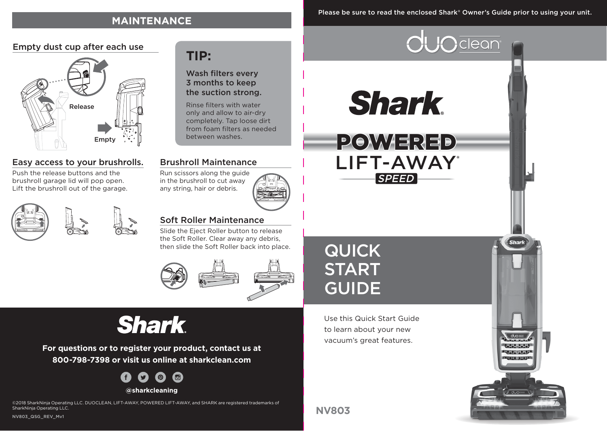#### **MAINTENANCE**

Please be sure to read the enclosed Shark® Owner's Guide prior to using your unit.

clean





#### Easy access to your brushrolls.

Push the release buttons and the brushroll garage lid will pop open. Lift the brushroll out of the garage.



### **TIP:**

Wash filters every 3 months to keep the suction strong.

Rinse filters with water only and allow to air-dry completely. Tap loose dirt from foam filters as needed between washes.

#### Brushroll Maintenance

Run scissors along the guide in the brushroll to cut away any string, hair or debris.

#### Soft Roller Maintenance

Slide the Eject Roller button to release the Soft Roller. Clear away any debris, then slide the Soft Roller back into place.



# **Shark**

**For questions or to register your product, contact us at 800-798-7398 or visit us online at sharkclean.com**



©2018 SharkNinja Operating LLC. DUOCLEAN, LIFT-AWAY, POWERED LIFT-AWAY, and SHARK are registered trademarks of SharkNinja Operating LLC.



**Shark** 

GUIDE

Use this Quick Start Guide to learn about your new vacuum's great features.



**NV803**